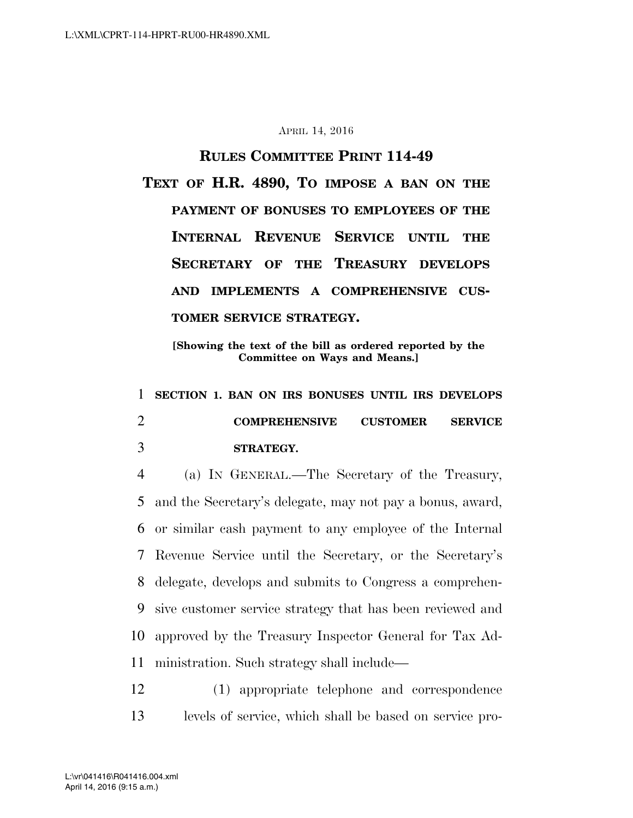## APRIL 14, 2016

## **RULES COMMITTEE PRINT 114-49**

**TEXT OF H.R. 4890, TO IMPOSE A BAN ON THE PAYMENT OF BONUSES TO EMPLOYEES OF THE INTERNAL REVENUE SERVICE UNTIL THE SECRETARY OF THE TREASURY DEVELOPS AND IMPLEMENTS A COMPREHENSIVE CUS-TOMER SERVICE STRATEGY.** 

**[Showing the text of the bill as ordered reported by the Committee on Ways and Means.]** 

1 **SECTION 1. BAN ON IRS BONUSES UNTIL IRS DEVELOPS**  2 **COMPREHENSIVE CUSTOMER SERVICE**  3 **STRATEGY.** 

 (a) IN GENERAL.—The Secretary of the Treasury, and the Secretary's delegate, may not pay a bonus, award, or similar cash payment to any employee of the Internal Revenue Service until the Secretary, or the Secretary's delegate, develops and submits to Congress a comprehen- sive customer service strategy that has been reviewed and approved by the Treasury Inspector General for Tax Ad-ministration. Such strategy shall include—

12 (1) appropriate telephone and correspondence 13 levels of service, which shall be based on service pro